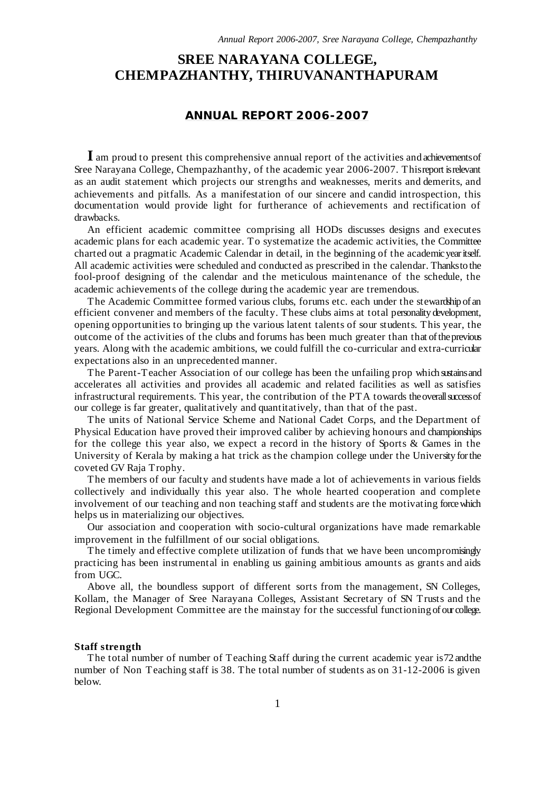# **SREE NARAYANA COLLEGE, CHEMPAZHANTHY, THIRUVANANTHAPURAM**

## **ANNUAL REPORT 2006-2007**

**I** am proud to present this comprehensive annual report of the activities and achievementsof Sree Narayana College, Chempazhanthy, of the academic year 2006-2007. Thisreport isrelevant as an audit statement which projects our strengths and weaknesses, merits and demerits, and achievements and pitfalls. As a manifestation of our sincere and candid introspection, this documentation would provide light for furtherance of achievements and rectification of drawbacks.

An efficient academic committee comprising all HODs discusses designs and executes academic plans for each academic year. To systematize the academic activities, the Committee charted out a pragmatic Academic Calendar in detail, in the beginning of the academicyearitself. All academic activities were scheduled and conducted as prescribed in the calendar. Thanksto the fool-proof designing of the calendar and the meticulous maintenance of the schedule, the academic achievements of the college during the academic year are tremendous.

The Academic Committee formed various clubs, forums etc. each under the stewardship of an efficient convener and members of the faculty. These clubs aims at total personality development, opening opportunities to bringing up the various latent talents of sour students. This year, the outcome of the activities of the clubs and forums has been much greater than that oftheprevious years. Along with the academic ambitions, we could fulfill the co-curricular and extra-curricular expectations also in an unprecedented manner.

The Parent-Teacher Association of our college has been the unfailing prop which sustainsand accelerates all activities and provides all academic and related facilities as well as satisfies infrastructural requirements. This year, the contribution of the PTA towards theoverallsuccessof our college is far greater, qualitatively and quantitatively, than that of the past.

The units of National Service Scheme and National Cadet Corps, and the Department of Physical Education have proved their improved caliber by achieving honours and championships for the college this year also, we expect a record in the history of Sports & Games in the University of Kerala by making a hat trick as the champion college under the University forthe coveted GV Raja Trophy.

The members of our faculty and students have made a lot of achievements in various fields collectively and individually this year also. The whole hearted cooperation and complete involvement of our teaching and non teaching staff and students are the motivating forcewhich helps us in materializing our objectives.

Our association and cooperation with socio-cultural organizations have made remarkable improvement in the fulfillment of our social obligations.

The timely and effective complete utilization of funds that we have been uncompromisingly practicing has been instrumental in enabling us gaining ambitious amounts as grants and aids from UGC.

Above all, the boundless support of different sorts from the management, SN Colleges, Kollam, the Manager of Sree Narayana Colleges, Assistant Secretary of SN Trusts and the Regional Development Committee are the mainstay for the successful functioning ofour college.

#### **Staff strength**

The total number of number of Teaching Staff during the current academic year is72 andthe number of Non Teaching staff is 38. The total number of students as on 31-12-2006 is given below.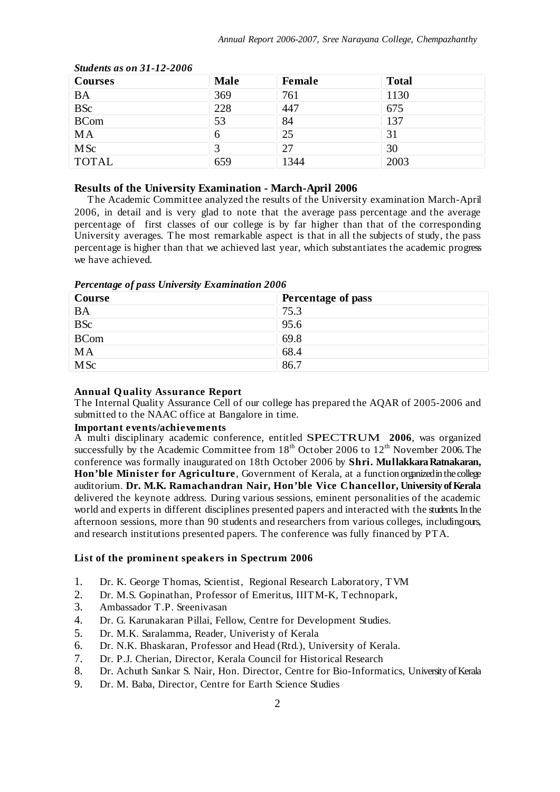| <b>Courses</b> | <b>Male</b> | Female | <b>Total</b> |
|----------------|-------------|--------|--------------|
| <b>BA</b>      | 369         | 761    | 1130         |
| <b>BSc</b>     | 228         | 447    | 675          |
| <b>BCom</b>    | 53          | 84     | 137          |
| MA             | 6           | 25     | 31           |
| <b>MSc</b>     |             | 27     | 30           |
| <b>TOTAL</b>   | 659         | 1344   | 2003         |

*Students as on 31-12-2006*

## **Results of the University Examination - March-April 2006**

The Academic Committee analyzed the results of the University examination March-April 2006, in detail and is very glad to note that the average pass percentage and the average percentage of first classes of our college is by far higher than that of the corresponding University averages. The most remarkable aspect is that in all the subjects of study, the pass percentage is higher than that we achieved last year, which substantiates the academic progress we have achieved.

| Course      | Percentage of pass |
|-------------|--------------------|
| <b>BA</b>   | 75.3               |
| <b>BSc</b>  | 95.6               |
| <b>BCom</b> | 69.8               |
| <b>MA</b>   | 68.4               |
| <b>MSc</b>  | 86.7               |

*Percentage of pass University Examination 2006*

#### **Annual Quality Assurance Report**

The Internal Quality Assurance Cell of our college has prepared the AQAR of 2005-2006 and submitted to the NAAC office at Bangalore in time.

#### **Important events/achievements**

A multi disciplinary academic conference, entitled SPECTRUM **2006**, was organized successfully by the Academic Committee from 18<sup>th</sup> October 2006 to 12<sup>th</sup> November 2006. The conference was formally inaugurated on 18th October 2006 by **Shri. MullakkaraRatnakaran, Hon'ble Minister for Agriculture**, Government of Kerala, at a function organizedin thecollege auditorium. **Dr. M.K. Ramachandran Nair, Hon'ble Vice Chancellor, University ofKerala** delivered the keynote address. During various sessions, eminent personalities of the academic world and experts in different disciplines presented papers and interacted with the students. In the afternoon sessions, more than 90 students and researchers from various colleges, includingours, and research institutions presented papers. The conference was fully financed by PTA.

#### **List of the prominent speakers in Spectrum 2006**

- 1. Dr. K. George Thomas, Scientist, Regional Research Laboratory, TVM
- 2. Dr. M.S. Gopinathan, Professor of Emeritus, IIITM-K, Technopark, 3. Ambassador T.P. Sreenivasan
- 3. Ambassador T.P. Sreenivasan
- 4. Dr. G. Karunakaran Pillai, Fellow, Centre for Development Studies.
- 5. Dr. M.K. Saralamma, Reader, Univeristy of Kerala
- 6. Dr. N.K. Bhaskaran, Professor and Head (Rtd.), University of Kerala.
- 7. Dr. P.J. Cherian, Director, Kerala Council for Historical Research
- 8. Dr. Achuth Sankar S. Nair, Hon. Director, Centre for Bio-Informatics, University of Kerala
- 9. Dr. M. Baba, Director, Centre for Earth Science Studies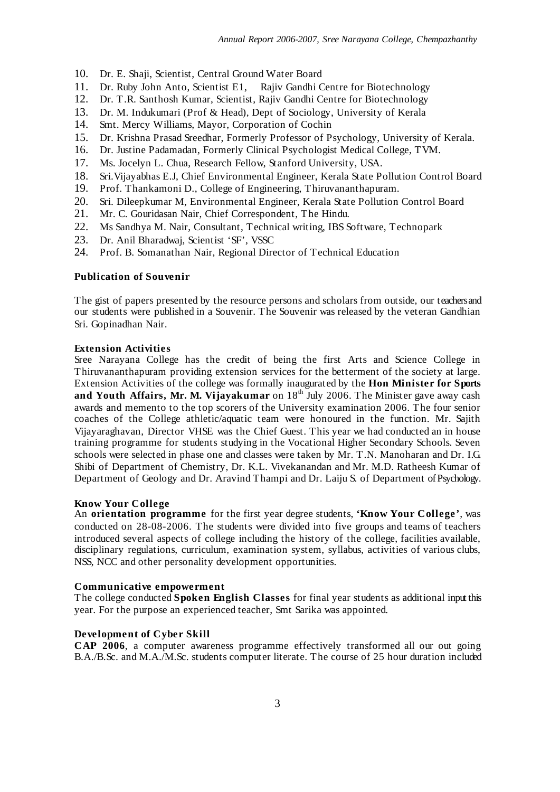- 10. Dr. E. Shaji, Scientist, Central Ground Water Board
- 11. Dr. Ruby John Anto, Scientist E1, Rajiv Gandhi Centre for Biotechnology
- 12. Dr. T.R. Santhosh Kumar, Scientist, Rajiv Gandhi Centre for Biotechnology
- 13. Dr. M. Indukumari (Prof & Head), Dept of Sociology, University of Kerala
- 14. Smt. Mercy Williams, Mayor, Corporation of Cochin
- 15. Dr. Krishna Prasad Sreedhar, Formerly Professor of Psychology, University of Kerala.
- 16. Dr. Justine Padamadan, Formerly Clinical Psychologist Medical College, TVM.
- 17. Ms. Jocelyn L. Chua, Research Fellow, Stanford University, USA.
- 18. Sri.Vijayabhas E.J, Chief Environmental Engineer, Kerala State Pollution Control Board
- 19. Prof. Thankamoni D., College of Engineering, Thiruvananthapuram.
- 20. Sri. Dileepkumar M, Environmental Engineer, Kerala State Pollution Control Board
- 21. Mr. C. Gouridasan Nair, Chief Correspondent, The Hindu.
- 22. Ms Sandhya M. Nair, Consultant, Technical writing, IBS Software, Technopark
- 23. Dr. Anil Bharadwaj, Scientist 'SF', VSSC
- 24. Prof. B. Somanathan Nair, Regional Director of Technical Education

#### **Publication of Souvenir**

The gist of papers presented by the resource persons and scholars from outside, our teachersand our students were published in a Souvenir. The Souvenir was released by the veteran Gandhian Sri. Gopinadhan Nair.

#### **Extension Activities**

Sree Narayana College has the credit of being the first Arts and Science College in Thiruvananthapuram providing extension services for the betterment of the society at large. Extension Activities of the college was formally inaugurated by the **Hon Minister for Sports and Youth Affairs, Mr. M. Vijayakumar** on 18 th July 2006. The Minister gave away cash awards and memento to the top scorers of the University examination 2006. The four senior coaches of the College athletic/aquatic team were honoured in the function. Mr. Sajith Vijayaraghavan, Director VHSE was the Chief Guest. This year we had conducted an in house training programme for students studying in the Vocational Higher Secondary Schools. Seven schools were selected in phase one and classes were taken by Mr. T.N. Manoharan and Dr. I.G. Shibi of Department of Chemistry, Dr. K.L. Vivekanandan and Mr. M.D. Ratheesh Kumar of Department of Geology and Dr. Aravind Thampi and Dr. Laiju S. of Department ofPsychology.

#### **Know Your College**

An **orientation programme** for the first year degree students, **'Know Your College'**, was conducted on 28-08-2006. The students were divided into five groups and teams of teachers introduced several aspects of college including the history of the college, facilities available, disciplinary regulations, curriculum, examination system, syllabus, activities of various clubs, NSS, NCC and other personality development opportunities.

#### **Communicative empowerment**

The college conducted **Spoken English Classes** for final year students as additional input this year. For the purpose an experienced teacher, Smt Sarika was appointed.

#### **Development of Cyber Skill**

**CAP 2006**, a computer awareness programme effectively transformed all our out going B.A./B.Sc. and M.A./M.Sc. students computer literate. The course of 25 hour duration included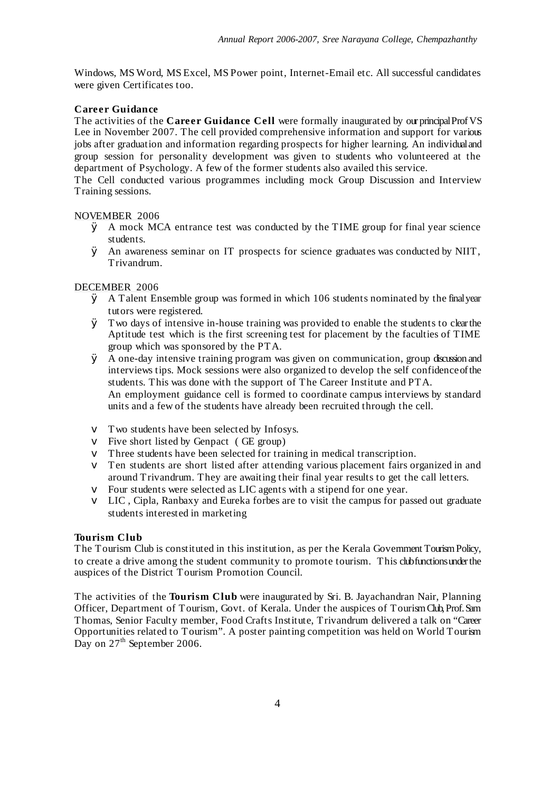Windows, MS Word, MS Excel, MS Power point, Internet-Email etc. All successful candidates were given Certificates too.

## **Career Guidance**

The activities of the **Career Guidance Cell** were formally inaugurated by ourprincipalProfVS Lee in November 2007. The cell provided comprehensive information and support for various jobs after graduation and information regarding prospects for higher learning. An individualand group session for personality development was given to students who volunteered at the department of Psychology. A few of the former students also availed this service.

The Cell conducted various programmes including mock Group Discussion and Interview Training sessions.

## NOVEMBER 2006

- $\emptyset$  A mock MCA entrance test was conducted by the TIME group for final year science students.
- Ø An awareness seminar on IT prospects for science graduates was conducted by NIIT, Trivandrum.

## DECEMBER 2006

- Ø A Talent Ensemble group was formed in which 106 students nominated by the finalyear tutors were registered.
- Ø Two days of intensive in-house training was provided to enable the students to clearthe Aptitude test which is the first screening test for placement by the faculties of TIME group which was sponsored by the PTA.
- Ø A one-day intensive training program was given on communication, group discussion and interviews tips. Mock sessions were also organized to develop the self confidenceofthe students. This was done with the support of The Career Institute and PTA. An employment guidance cell is formed to coordinate campus interviews by standard units and a few of the students have already been recruited through the cell.
- v Two students have been selected by Infosys.
- v Five short listed by Genpact ( GE group)
- v Three students have been selected for training in medical transcription.
- v Ten students are short listed after attending various placement fairs organized in and around Trivandrum. They are awaiting their final year results to get the call letters.
- v Four students were selected as LIC agents with a stipend for one year.
- $\vee$  LIC, Cipla, Ranbaxy and Eureka forbes are to visit the campus for passed out graduate students interested in marketing

## **Tourism Club**

The Tourism Club is constituted in this institution, as per the Kerala Government TourismPolicy, to create a drive among the student community to promote tourism. This clubfunctionsunderthe auspices of the District Tourism Promotion Council.

The activities of the **Tourism Club** were inaugurated by Sri. B. Jayachandran Nair, Planning Officer, Department of Tourism, Govt. of Kerala. Under the auspices of TourismClub,Prof.Sam Thomas, Senior Faculty member, Food Crafts Institute, Trivandrum delivered a talk on "Career Opportunities related to Tourism". A poster painting competition was held on World Tourism Day on 27<sup>th</sup> September 2006.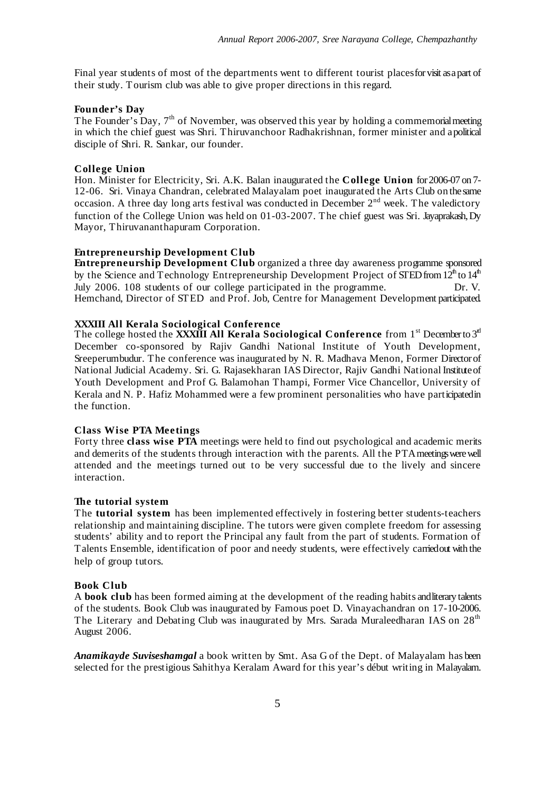Final year students of most of the departments went to different tourist placesforvisit asapart of their study. Tourism club was able to give proper directions in this regard.

#### **Founder's Day**

The Founder's Day, 7<sup>th</sup> of November, was observed this year by holding a commemorial meeting in which the chief guest was Shri. Thiruvanchoor Radhakrishnan, former minister and apolitical disciple of Shri. R. Sankar, our founder.

#### **College Union**

Hon. Minister for Electricity, Sri. A.K. Balan inaugurated the **College Union** for2006-07 on 7- 12-06. Sri. Vinaya Chandran, celebrated Malayalam poet inaugurated the Arts Club on thesame occasion. A three day long arts festival was conducted in December  $2<sup>nd</sup>$  week. The valedictory function of the College Union was held on 01-03-2007. The chief guest was Sri. Jayaprakash,Dy Mayor, Thiruvananthapuram Corporation.

#### **Entrepreneurship Development Club**

**Entrepreneurship Development Club** organized a three day awareness programme sponsored by the Science and Technology Entrepreneurship Development Project of STED from 12<sup>th</sup> to 14<sup>th</sup> July 2006. 108 students of our college participated in the programme. Dr. V. Hemchand, Director of STED and Prof. Job, Centre for Management Development participated.

#### **XXXIII All Kerala Sociological Conference**

The college hosted the **XXXIII All Kerala Sociological Conference** from 1<sup>st</sup> Decemberto 3<sup>d</sup> December co-sponsored by Rajiv Gandhi National Institute of Youth Development, Sreeperumbudur. The conference was inaugurated by N. R. Madhava Menon, Former Directorof National Judicial Academy. Sri. G. Rajasekharan IAS Director, Rajiv Gandhi National Instituteof Youth Development and Prof G. Balamohan Thampi, Former Vice Chancellor, University of Kerala and N. P. Hafiz Mohammed were a few prominent personalities who have participatedin the function.

## **Class Wise PTA Meetings**

Forty three **class wise PTA** meetings were held to find out psychological and academic merits and demerits of the students through interaction with the parents. All the PTA meetings were well attended and the meetings turned out to be very successful due to the lively and sincere interaction.

#### **The tutorial system**

The **tutorial system** has been implemented effectively in fostering better students-teachers relationship and maintaining discipline. The tutors were given complete freedom for assessing students' ability and to report the Principal any fault from the part of students. Formation of Talents Ensemble, identification of poor and needy students, were effectively carriedout with the help of group tutors.

#### **Book Club**

A **book club** has been formed aiming at the development of the reading habits andliterary talents of the students. Book Club was inaugurated by Famous poet D. Vinayachandran on 17-10-2006. The Literary and Debating Club was inaugurated by Mrs. Sarada Muraleedharan IAS on  $28^{\text{th}}$ August 2006.

*Anamikayde Suviseshamgal* a book written by Smt. Asa G of the Dept. of Malayalam has been selected for the prestigious Sahithya Keralam Award for this year's début writing in Malayalam.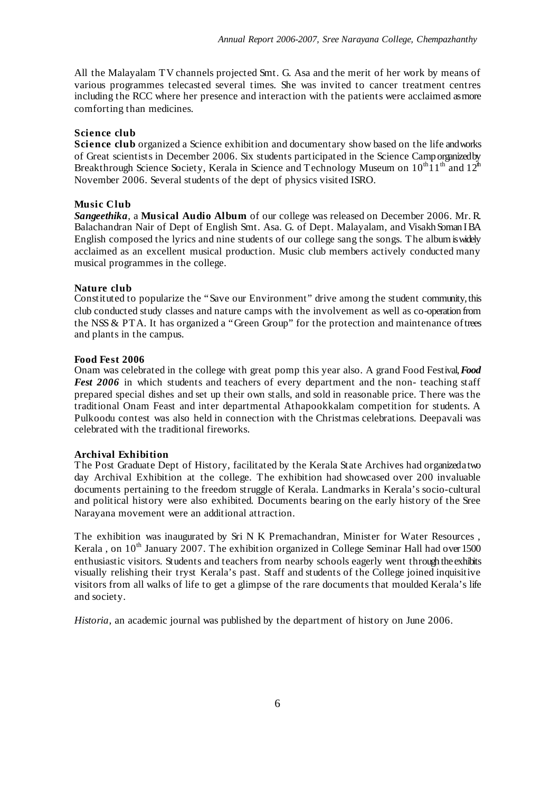All the Malayalam TV channels projected Smt. G. Asa and the merit of her work by means of various programmes telecasted several times. She was invited to cancer treatment centres including the RCC where her presence and interaction with the patients were acclaimed asmore comforting than medicines.

#### **Science club**

**Science club** organized a Science exhibition and documentary show based on the life andworks of Great scientists in December 2006. Six students participated in the Science Camp organizedby Breakthrough Science Society, Kerala in Science and Technology Museum on  $10^{\text{th}}\hat{1}1^{\text{th}}$  and  $12^{\text{th}}$ November 2006. Several students of the dept of physics visited ISRO.

#### **Music Club**

*Sangeethika*, a **Musical Audio Album** of our college was released on December 2006. Mr. R. Balachandran Nair of Dept of English Smt. Asa. G. of Dept. Malayalam, and Visakh Soman IBA English composed the lyrics and nine students of our college sang the songs. The albumiswidely acclaimed as an excellent musical production. Music club members actively conducted many musical programmes in the college.

#### **Nature club**

Constituted to popularize the "Save our Environment" drive among the student community,this club conducted study classes and nature camps with the involvement as well as co-operation from the NSS & PTA. It has organized a "Green Group" for the protection and maintenance oftrees and plants in the campus.

#### **Food Fest 2006**

Onam was celebrated in the college with great pomp this year also. A grand Food Festival,*Food Fest 2006* in which students and teachers of every department and the non- teaching staff prepared special dishes and set up their own stalls, and sold in reasonable price. There was the traditional Onam Feast and inter departmental Athapookkalam competition for students. A Pulkoodu contest was also held in connection with the Christmas celebrations. Deepavali was celebrated with the traditional fireworks.

## **Archival Exhibition**

The Post Graduate Dept of History, facilitated by the Kerala State Archives had organizedatwo day Archival Exhibition at the college. The exhibition had showcased over 200 invaluable documents pertaining to the freedom struggle of Kerala. Landmarks in Kerala's socio-cultural and political history were also exhibited. Documents bearing on the early history of the Sree Narayana movement were an additional attraction.

The exhibition was inaugurated by Sri N K Premachandran, Minister for Water Resources , Kerala, on 10<sup>th</sup> January 2007. The exhibition organized in College Seminar Hall had over 1500 enthusiastic visitors. Students and teachers from nearby schools eagerly went through theexhibits visually relishing their tryst Kerala's past. Staff and students of the College joined inquisitive visitors from all walks of life to get a glimpse of the rare documents that moulded Kerala's life and society.

*Historia*, an academic journal was published by the department of history on June 2006.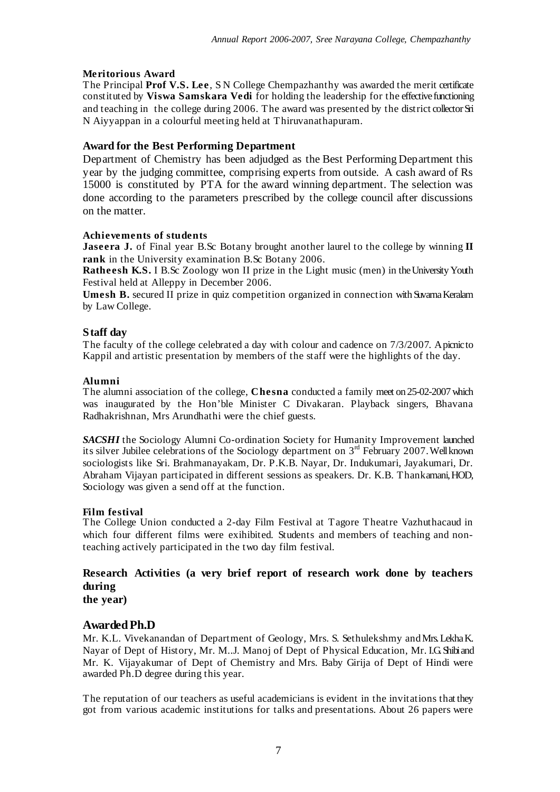## **Meritorious Award**

The Principal **Prof V.S. Lee**, S N College Chempazhanthy was awarded the merit certificate constituted by **Viswa Samskara Vedi** for holding the leadership for the effectivefunctioning and teaching in the college during 2006. The award was presented by the district collector Sri N Aiyyappan in a colourful meeting held at Thiruvanathapuram.

## **Award for the Best Performing Department**

Department of Chemistry has been adjudged as the Best Performing Department this year by the judging committee, comprising experts from outside. A cash award of Rs 15000 is constituted by PTA for the award winning department. The selection was done according to the parameters prescribed by the college council after discussions on the matter.

## **Achievements of students**

**Jaseera J.** of Final year B.Sc Botany brought another laurel to the college by winning **II rank** in the University examination B.Sc Botany 2006.

**Ratheesh K.S.** I B.Sc Zoology won II prize in the Light music (men) in the University Youth Festival held at Alleppy in December 2006.

**Umesh <b>B.** secured II prize in quiz competition organized in connection with Suvarna Keralam by Law College.

## **Staff day**

The faculty of the college celebrated a day with colour and cadence on 7/3/2007. Apicnicto Kappil and artistic presentation by members of the staff were the highlights of the day.

## **Alumni**

The alumni association of the college, **Chesna** conducted a family meet on 25-02-2007which was inaugurated by the Hon'ble Minister C Divakaran. Playback singers, Bhavana Radhakrishnan, Mrs Arundhathi were the chief guests.

*SACSHI* the Sociology Alumni Co-ordination Society for Humanity Improvement launched its silver Jubilee celebrations of the Sociology department on  $3<sup>rd</sup>$  February 2007. Well known sociologists like Sri. Brahmanayakam, Dr. P.K.B. Nayar, Dr. Indukumari, Jayakumari, Dr. Abraham Vijayan participated in different sessions as speakers. Dr. K.B. Thankamani,HOD, Sociology was given a send off at the function.

## **Film festival**

The College Union conducted a 2-day Film Festival at Tagore Theatre Vazhuthacaud in which four different films were exihibited. Students and members of teaching and nonteaching actively participated in the two day film festival.

# **Research Activities (a very brief report of research work done by teachers during**

**the year)**

## **AwardedPh.D**

Mr. K.L. Vivekanandan of Department of Geology, Mrs. S. Sethulekshmy andMrs.LekhaK. Nayar of Dept of History, Mr. M..J. Manoj of Dept of Physical Education, Mr. I.G.Shibiand Mr. K. Vijayakumar of Dept of Chemistry and Mrs. Baby Girija of Dept of Hindi were awarded Ph.D degree during this year.

The reputation of our teachers as useful academicians is evident in the invitations that they got from various academic institutions for talks and presentations. About 26 papers were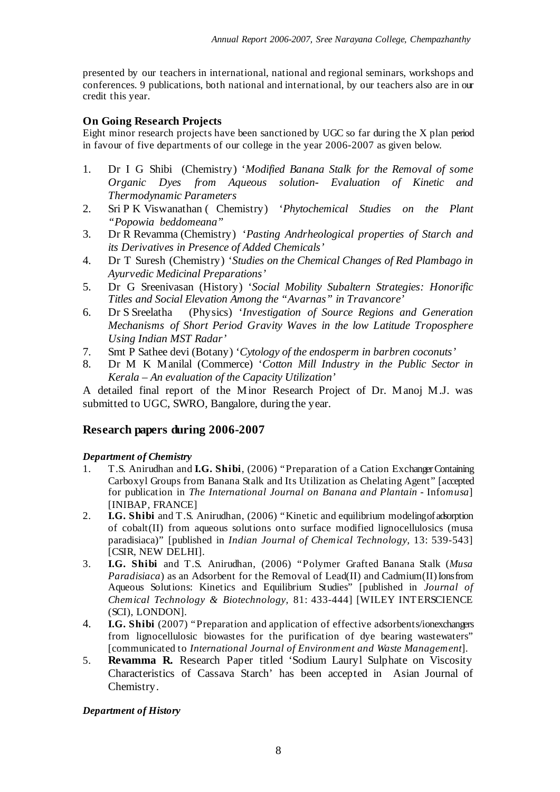presented by our teachers in international, national and regional seminars, workshops and conferences. 9 publications, both national and international, by our teachers also are in our credit this year.

# **On Going Research Projects**

Eight minor research projects have been sanctioned by UGC so far during the X plan period in favour of five departments of our college in the year 2006-2007 as given below.

- 1. Dr I G Shibi (Chemistry) '*Modified Banana Stalk for the Removal of some Organic Dyes from Aqueous solution- Evaluation of Kinetic and Thermodynamic Parameters*
- 2. Sri P K Viswanathan ( Chemistry) '*Phytochemical Studies on the Plant "Popowia beddomeana"*
- 3. Dr R Revamma (Chemistry) '*Pasting Andrheological properties of Starch and its Derivatives in Presence of Added Chemicals'*
- 4. Dr T Suresh (Chemistry) '*Studies on the Chemical Changes of Red Plambago in Ayurvedic Medicinal Preparations'*
- 5. Dr G Sreenivasan (History) '*Social Mobility Subaltern Strategies: Honorific Titles and Social Elevation Among the "Avarnas" in Travancore'*
- 6. Dr S Sreelatha (Physics) '*Investigation of Source Regions and Generation Mechanisms of Short Period Gravity Waves in the low Latitude Troposphere Using Indian MST Radar'*
- 7. Smt P Sathee devi (Botany) '*Cytology of the endosperm in barbren coconuts'*
- 8. Dr M K Manilal (Commerce) '*Cotton Mill Industry in the Public Sector in Kerala – An evaluation of the Capacity Utilization'*

A detailed final report of the Minor Research Project of Dr. Manoj M.J. was submitted to UGC, SWRO, Bangalore, during the year.

# **Research papers during 2006-2007**

*Department of Chemistry*

- 1. T.S. Anirudhan and **I.G. Shibi**, (2006) "Preparation of a Cation ExchangerContaining Carboxyl Groups from Banana Stalk and Its Utilization as Chelating Agent" [accepted for publication in *The International Journal on Banana and Plantain* - Info*musa*] [INIBAP, FRANCE]
- 2. **I.G. Shibi** and T.S. Anirudhan, (2006) "Kinetic and equilibrium modelingof adsorption of cobalt(II) from aqueous solutions onto surface modified lignocellulosics (musa paradisiaca)" [published in *Indian Journal of Chemical Technology,* 13: 539-543] [CSIR, NEW DELHI].
- 3. **I.G. Shibi** and T.S. Anirudhan, (2006) "Polymer Grafted Banana Stalk (*Musa Paradisiaca*) as an Adsorbent for the Removal of Lead(II) and Cadmium(II) Ionsfrom Aqueous Solutions: Kinetics and Equilibrium Studies" [published in *Journal of Chemical Technology & Biotechnology,* 81: 433-444] [WILEY INTERSCIENCE (SCI), LONDON].
- 4. **I.G. Shibi** (2007) "Preparation and application of effective adsorbents/ionexchangers from lignocellulosic biowastes for the purification of dye bearing wastewaters" [communicated to *International Journal of Environment and Waste Management*].
- 5. **Revamma R.** Research Paper titled 'Sodium Lauryl Sulphate on Viscosity Characteristics of Cassava Starch' has been accepted in Asian Journal of Chemistry.

*Department of History*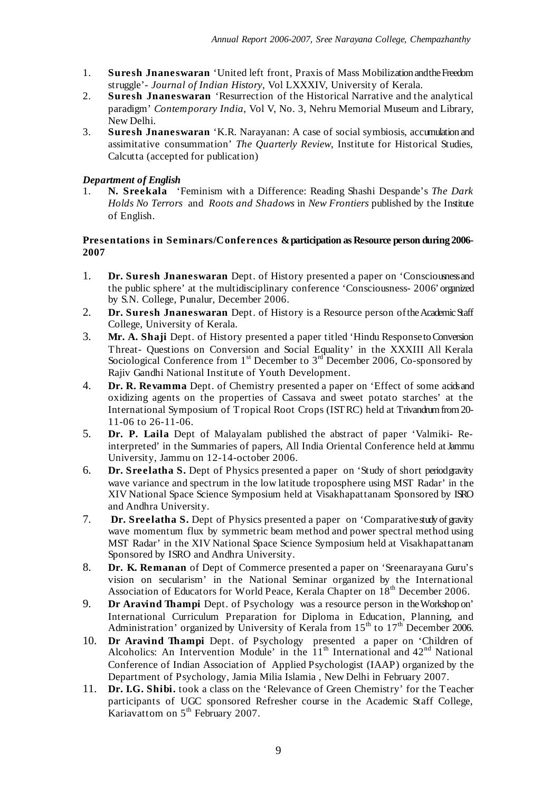- 1. **Suresh Jnaneswaran** 'United left front, Praxis of Mass Mobilization andtheFreedom struggle'- *Journal of Indian History*, Vol LXXXIV, University of Kerala.
- 2. **Suresh Jnaneswaran** 'Resurrection of the Historical Narrative and the analytical paradigm' *Contemporary India*, Vol V, No. 3, Nehru Memorial Museum and Library, New Delhi.
- 3. **Suresh Jnaneswaran** 'K.R. Narayanan: A case of social symbiosis, accumulation and assimitative consummation' *The Quarterly Review*, Institute for Historical Studies, Calcutta (accepted for publication)

# *Department of English*

1. **N. Sreekala** 'Feminism with a Difference: Reading Shashi Despande's *The Dark Holds No Terrors* and *Roots and Shadows* in *New Frontiers* published by the Institute of English.

## **Presentations in Seminars/Conferences &participation as Resource person during 2006- 2007**

- 1. **Dr. Suresh Jnaneswaran** Dept. of History presented a paper on 'Consciousnessand the public sphere' at the multidisciplinary conference 'Consciousness- 2006'organized by S.N. College, Punalur, December 2006.
- 2. **Dr. Suresh Jnaneswaran** Dept. of History is a Resource person of the Academic Staff College, University of Kerala.
- 3. **Mr. A. Shaji** Dept. of History presented a paper titled 'Hindu ResponsetoConversion Threat- Questions on Conversion and Social Equality' in the XXXIII All Kerala Sociological Conference from  $1<sup>st</sup>$  December to  $3<sup>rd</sup>$  December 2006, Co-sponsored by Rajiv Gandhi National Institute of Youth Development.
- 4. **Dr. R. Revamma** Dept. of Chemistry presented a paper on 'Effect of some acidsand oxidizing agents on the properties of Cassava and sweet potato starches' at the International Symposium of Tropical Root Crops (ISTRC) held at Trivandrumfrom20- 11-06 to 26-11-06.
- 5. **Dr. P. Laila** Dept of Malayalam published the abstract of paper 'Valmiki- Reinterpreted' in the Summaries of papers, All India Oriental Conference held atJammu University, Jammu on 12-14-october 2006.
- 6. **Dr. Sreelatha S.** Dept of Physics presented a paper on 'Study of short periodgravity wave variance and spectrum in the low latitude troposphere using MST Radar' in the XIV National Space Science Symposium held at Visakhapattanam Sponsored by ISRO and Andhra University.
- 7. **Dr. Sreelatha S.** Dept of Physics presented a paper on 'Comparativestudy ofgravity wave momentum flux by symmetric beam method and power spectral method using MST Radar' in the XIV National Space Science Symposium held at Visakhapattanam Sponsored by ISRO and Andhra University.
- 8. **Dr. K. Remanan** of Dept of Commerce presented a paper on 'Sreenarayana Guru's vision on secularism' in the National Seminar organized by the International Association of Educators for World Peace, Kerala Chapter on 18<sup>th</sup> December 2006.
- 9. **Dr Aravind Thampi** Dept. of Psychology was a resource person in theWorkshop on' International Curriculum Preparation for Diploma in Education, Planning, and Administration' organized by University of Kerala from  $15<sup>th</sup>$  to  $17<sup>th</sup>$  December 2006.
- 10. **Dr Aravind Thampi** Dept. of Psychology presented a paper on 'Children of Alcoholics: An Intervention Module' in the  $11<sup>th</sup>$  International and  $42<sup>nd</sup>$  National Conference of Indian Association of Applied Psychologist (IAAP) organized by the Department of Psychology, Jamia Milia Islamia , New Delhi in February 2007.
- 11. **Dr. I.G. Shibi.** took a class on the 'Relevance of Green Chemistry' for the Teacher participants of UGC sponsored Refresher course in the Academic Staff College, Kariavattom on 5<sup>th</sup> February 2007.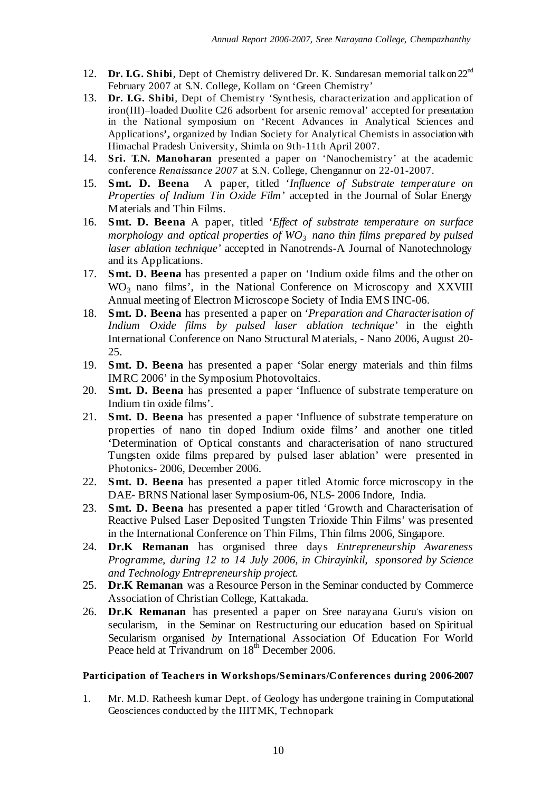- 12. Dr. I.G. Shibi, Dept of Chemistry delivered Dr. K. Sundaresan memorial talk on 22<sup>nd</sup> February 2007 at S.N. College, Kollam on 'Green Chemistry'
- 13. **Dr. I.G. Shibi**, Dept of Chemistry 'Synthesis, characterization and application of iron(III)–loaded Duolite C26 adsorbent for arsenic removal' accepted for presentation in the National symposium on 'Recent Advances in Analytical Sciences and Applications**',** organized by Indian Society for Analytical Chemists in associationwith Himachal Pradesh University, Shimla on 9th-11th April 2007.
- 14. **Sri. T.N. Manoharan** presented a paper on 'Nanochemistry' at the academic conference *Renaissance 2007* at S.N. College, Chengannur on 22-01-2007.
- 15. **Smt. D. Beena** A paper, titled '*Influence of Substrate temperature on Properties of Indium Tin Oxide Film'* accepted in the Journal of Solar Energy Materials and Thin Films.
- 16. **Smt. D. Beena** A paper, titled '*Effect of substrate temperature on surface morphology and optical properties of WO<sup>3</sup> nano thin films prepared by pulsed laser ablation technique'* accepted in Nanotrends-A Journal of Nanotechnology and its Applications.
- 17. **Smt. D. Beena** has presented a paper on 'Indium oxide films and the other on  $WO<sub>3</sub>$  nano films', in the National Conference on Microscopy and XXVIII Annual meeting of Electron Microscope Society of India EMS INC-06.
- 18. **Smt. D. Beena** has presented a paper on '*Preparation and Characterisation of Indium Oxide films by pulsed laser ablation technique'* in the eighth International Conference on Nano Structural Materials, - Nano 2006, August 20- 25.
- 19. **Smt. D. Beena** has presented a paper 'Solar energy materials and thin films IMRC 2006' in the Symposium Photovoltaics.
- 20. **Smt. D. Beena** has presented a paper 'Influence of substrate temperature on Indium tin oxide films'.
- 21. **Smt. D. Beena** has presented a paper 'Influence of substrate temperature on properties of nano tin doped Indium oxide films*'* and another one titled 'Determination of Optical constants and characterisation of nano structured Tungsten oxide films prepared by pulsed laser ablation' were presented in Photonics- 2006, December 2006.
- 22. **Smt. D. Beena** has presented a paper titled Atomic force microscopy in the DAE- BRNS National laser Symposium-06, NLS- 2006 Indore, India.
- 23. **Smt. D. Beena** has presented a paper titled 'Growth and Characterisation of Reactive Pulsed Laser Deposited Tungsten Trioxide Thin Films' was presented in the International Conference on Thin Films, Thin films 2006, Singapore.
- 24. **Dr.K Remanan** has organised three days *Entrepreneurship Awareness Programme, during 12 to 14 July 2006, in Chirayinkil, sponsored by Science and Technology Entrepreneurship project.*
- 25. **Dr.K Remanan** was a Resource Person in the Seminar conducted by Commerce Association of Christian College, Kattakada.
- 26. Dr.K Remanan has presented a paper on Sree narayana Guru's vision on secularism, in the Seminar on Restructuring our education based on Spiritual Secularism organised *by* International Association Of Education For World Peace held at Trivandrum on 18<sup>th</sup> December 2006.

## **Participation of Teachers in Workshops/Seminars/Conferences during 2006-2007**

1. Mr. M.D. Ratheesh kumar Dept. of Geology has undergone training in Computational Geosciences conducted by the IIITMK, Technopark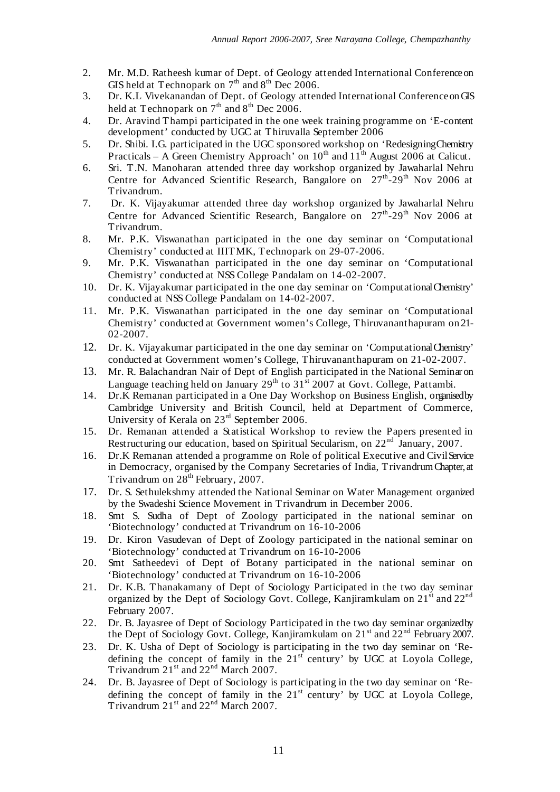- 2. Mr. M.D. Ratheesh kumar of Dept. of Geology attended International Conferenceon GIS held at Technopark on  $7<sup>th</sup>$  and  $8<sup>th</sup>$  Dec 2006.
- 3. Dr. K.L Vivekanandan of Dept. of Geology attended International ConferenceonGIS held at Technopark on  $7<sup>th</sup>$  and  $8<sup>th</sup>$  Dec 2006.
- 4. Dr. Aravind Thampi participated in the one week training programme on 'E-content development' conducted by UGC at Thiruvalla September 2006
- 5. Dr. Shibi. I.G. participated in the UGC sponsored workshop on 'RedesigningChemistry Practicals – A Green Chemistry Approach' on  $10^{th}$  and  $11^{th}$  August 2006 at Calicut.
- 6. Sri. T.N. Manoharan attended three day workshop organized by Jawaharlal Nehru Centre for Advanced Scientific Research, Bangalore on  $27<sup>th</sup>-29<sup>th</sup>$  Nov 2006 at Trivandrum.
- 7. Dr. K. Vijayakumar attended three day workshop organized by Jawaharlal Nehru Centre for Advanced Scientific Research, Bangalore on  $27<sup>th</sup>$ -29<sup>th</sup> Nov 2006 at Trivandrum.
- 8. Mr. P.K. Viswanathan participated in the one day seminar on 'Computational Chemistry' conducted at IIITMK, Technopark on 29-07-2006.
- 9. Mr. P.K. Viswanathan participated in the one day seminar on 'Computational Chemistry' conducted at NSS College Pandalam on 14-02-2007.
- 10. Dr. K. Vijayakumar participated in the one day seminar on 'ComputationalChemistry' conducted at NSS College Pandalam on 14-02-2007.
- 11. Mr. P.K. Viswanathan participated in the one day seminar on 'Computational Chemistry' conducted at Government women's College, Thiruvananthapuram on 21- 02-2007.
- 12. Dr. K. Vijayakumar participated in the one day seminar on 'Computational Chemistry' conducted at Government women's College, Thiruvananthapuram on 21-02-2007.
- 13. Mr. R. Balachandran Nair of Dept of English participated in the National Seminaron Language teaching held on January 29<sup>th</sup> to 31<sup>st</sup> 2007 at Govt. College, Pattambi.
- 14. Dr.K Remanan participated in a One Day Workshop on Business English, organisedby Cambridge University and British Council, held at Department of Commerce, University of Kerala on  $23<sup>rd</sup>$  September 2006.
- 15. Dr. Remanan attended a Statistical Workshop to review the Papers presented in Restructuring our education, based on Spiritual Secularism, on 22<sup>nd</sup> January, 2007.
- 16. Dr.K Remanan attended a programme on Role of political Executive and CivilService in Democracy, organised by the Company Secretaries of India, TrivandrumChapter, at Trivandrum on 28<sup>th</sup> February, 2007.
- 17. Dr. S. Sethulekshmy attended the National Seminar on Water Management organized by the Swadeshi Science Movement in Trivandrum in December 2006.
- 18. Smt S. Sudha of Dept of Zoology participated in the national seminar on 'Biotechnology' conducted at Trivandrum on 16-10-2006
- 19. Dr. Kiron Vasudevan of Dept of Zoology participated in the national seminar on 'Biotechnology' conducted at Trivandrum on 16-10-2006
- 20. Smt Satheedevi of Dept of Botany participated in the national seminar on 'Biotechnology' conducted at Trivandrum on 16-10-2006
- 21. Dr. K.B. Thanakamany of Dept of Sociology Participated in the two day seminar organized by the Dept of Sociology Govt. College, Kanjiramkulam on  $21^{st}$  and  $22^{nd}$ February 2007.
- 22. Dr. B. Jayasree of Dept of Sociology Participated in the two day seminar organizedby the Dept of Sociology Govt. College, Kanjiramkulam on 21st and 22<sup>nd</sup> February 2007.
- 23. Dr. K. Usha of Dept of Sociology is participating in the two day seminar on 'Redefining the concept of family in the 21<sup>st</sup> century' by UGC at Loyola College, Trivandrum 21<sup>st</sup> and 22<sup>nd</sup> March 2007.
- 24. Dr. B. Jayasree of Dept of Sociology is participating in the two day seminar on 'Redefining the concept of family in the  $21<sup>st</sup>$  century' by UGC at Loyola College, Trivandrum 21<sup>st</sup> and 22<sup>nd</sup> March 2007.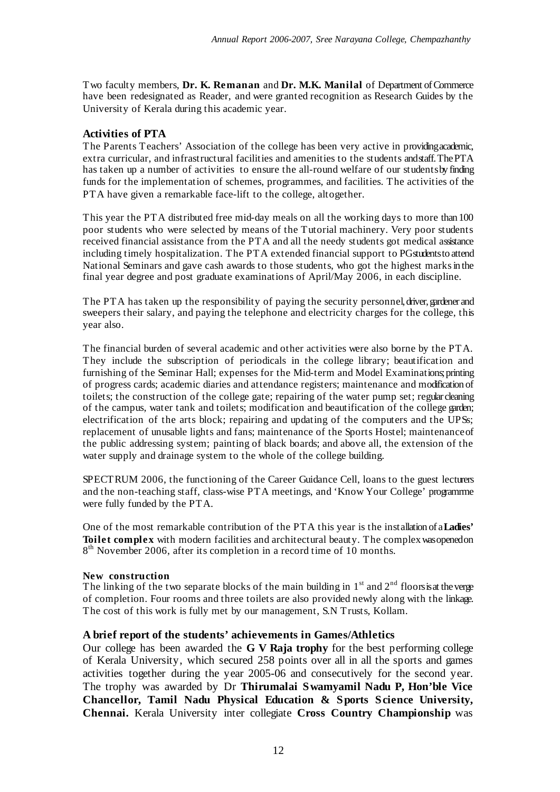Two faculty members, **Dr. K. Remanan** and **Dr. M.K. Manilal** of Department ofCommerce have been redesignated as Reader, and were granted recognition as Research Guides by the University of Kerala during this academic year.

## **Activities of PTA**

The Parents Teachers' Association of the college has been very active in providingacademic, extra curricular, and infrastructural facilities and amenities to the students andstaff.ThePTA has taken up a number of activities to ensure the all-round welfare of our studentsby finding funds for the implementation of schemes, programmes, and facilities. The activities of the PTA have given a remarkable face-lift to the college, altogether.

This year the PTA distributed free mid-day meals on all the working days to more than 100 poor students who were selected by means of the Tutorial machinery. Very poor students received financial assistance from the PTA and all the needy students got medical assistance including timely hospitalization. The PTA extended financial support to PGstudentsto attend National Seminars and gave cash awards to those students, who got the highest marksin the final year degree and post graduate examinations of April/May 2006, in each discipline.

The PTA has taken up the responsibility of paying the security personnel, driver, gardener and sweepers their salary, and paying the telephone and electricity charges for the college, this year also.

The financial burden of several academic and other activities were also borne by the PTA. They include the subscription of periodicals in the college library; beautification and furnishing of the Seminar Hall; expenses for the Mid-term and Model Examinations;printing of progress cards; academic diaries and attendance registers; maintenance and modification of toilets; the construction of the college gate; repairing of the water pump set; regular cleaning of the campus, water tank and toilets; modification and beautification of the college garden; electrification of the arts block; repairing and updating of the computers and the UPSs; replacement of unusable lights and fans; maintenance of the Sports Hostel; maintenanceof the public addressing system; painting of black boards; and above all, the extension of the water supply and drainage system to the whole of the college building.

SPECTRUM 2006, the functioning of the Career Guidance Cell, loans to the guest lecturers and the non-teaching staff, class-wise PTA meetings, and 'Know Your College' programrme were fully funded by the PTA.

One of the most remarkable contribution of the PTA this year is the installation of a**Ladies' Toilet complex** with modern facilities and architectural beauty. The complexwasopenedon 8<sup>th</sup> November 2006, after its completion in a record time of 10 months.

## **New construction**

The linking of the two separate blocks of the main building in  $1<sup>st</sup>$  and  $2<sup>nd</sup>$  floors is at the verge of completion. Four rooms and three toilets are also provided newly along with the linkage. The cost of this work is fully met by our management, S.N Trusts, Kollam.

## **A brief report of the students' achievements in Games/Athletics**

Our college has been awarded the **G V Raja trophy** for the best performing college of Kerala University, which secured 258 points over all in all the sports and games activities together during the year 2005-06 and consecutively for the second year. The trophy was awarded by Dr **Thirumalai Swamyamil Nadu P, Hon'ble Vice Chancellor, Tamil Nadu Physical Education & Sports Science University, Chennai.** Kerala University inter collegiate **Cross Country Championship** was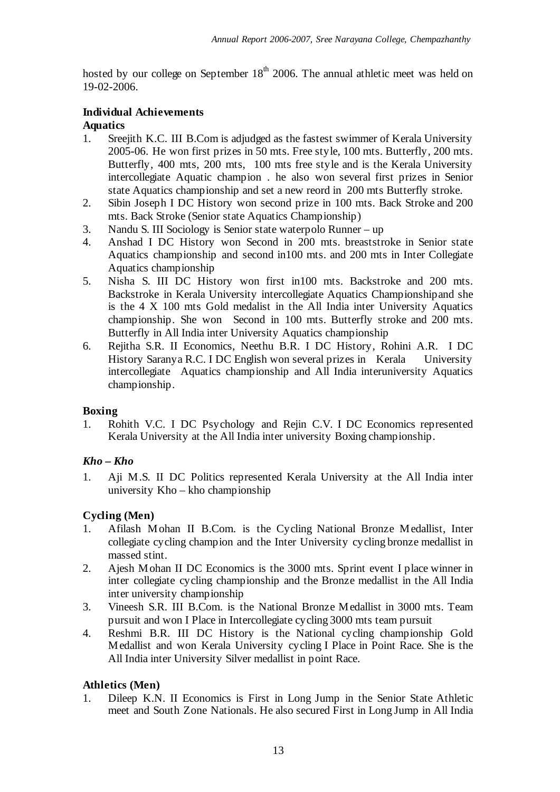hosted by our college on September 18<sup>th</sup> 2006. The annual athletic meet was held on 19-02-2006.

# **Individual Achievements**

# **Aquatics**

- 1. Sreejith K.C. III B.Com is adjudged as the fastest swimmer of Kerala University 2005-06. He won first prizes in 50 mts. Free style, 100 mts. Butterfly, 200 mts. Butterfly, 400 mts, 200 mts, 100 mts free style and is the Kerala University intercollegiate Aquatic champion . he also won several first prizes in Senior state Aquatics championship and set a new reord in 200 mts Butterfly stroke.
- 2. Sibin Joseph I DC History won second prize in 100 mts. Back Stroke and 200 mts. Back Stroke (Senior state Aquatics Championship)
- 3. Nandu S. III Sociology is Senior state waterpolo Runner up<br>4. Anshad I DC History won Second in 200 mts. breaststro
- 4. Anshad I DC History won Second in 200 mts. breaststroke in Senior state Aquatics championship and second in100 mts. and 200 mts in Inter Collegiate Aquatics championship
- 5. Nisha S. III DC History won first in100 mts. Backstroke and 200 mts. Backstroke in Kerala University intercollegiate Aquatics Championshipand she is the 4 X 100 mts Gold medalist in the All India inter University Aquatics championship. She won Second in 100 mts. Butterfly stroke and 200 mts. Butterfly in All India inter University Aquatics championship
- 6. Rejitha S.R. II Economics, Neethu B.R. I DC History, Rohini A.R. I DC History Saranya R.C. I DC English won several prizes in Kerala University intercollegiate Aquatics championship and All India interuniversity Aquatics championship.

# **Boxing**

1. Rohith V.C. I DC Psychology and Rejin C.V. I DC Economics represented Kerala University at the All India inter university Boxing championship.

# *Kho – Kho*

1. Aji M.S. II DC Politics represented Kerala University at the All India inter university Kho – kho championship

# **Cycling (Men)**

- 1. Afilash Mohan II B.Com. is the Cycling National Bronze Medallist, Inter collegiate cycling champion and the Inter University cycling bronze medallist in massed stint.
- 2. Ajesh Mohan II DC Economics is the 3000 mts. Sprint event I place winner in inter collegiate cycling championship and the Bronze medallist in the All India inter university championship
- 3. Vineesh S.R. III B.Com. is the National Bronze Medallist in 3000 mts. Team pursuit and won I Place in Intercollegiate cycling 3000 mts team pursuit
- 4. Reshmi B.R. III DC History is the National cycling championship Gold Medallist and won Kerala University cycling I Place in Point Race. She is the All India inter University Silver medallist in point Race.

# **Athletics (Men)**

1. Dileep K.N. II Economics is First in Long Jump in the Senior State Athletic meet and South Zone Nationals. He also secured First in Long Jump in All India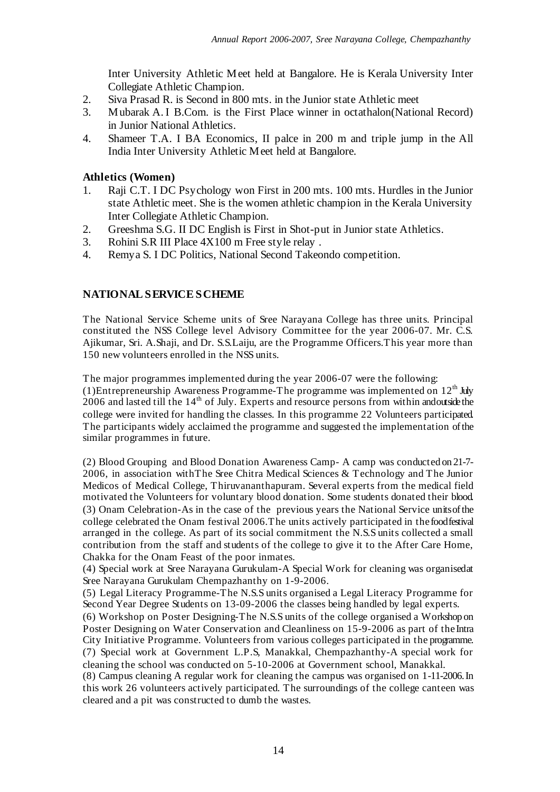Inter University Athletic Meet held at Bangalore. He is Kerala University Inter Collegiate Athletic Champion.

- 2. Siva Prasad R. is Second in 800 mts. in the Junior state Athletic meet
- 3. Mubarak A. I B.Com. is the First Place winner in octathalon(National Record) in Junior National Athletics.
- 4. Shameer T.A. I BA Economics, II palce in 200 m and triple jump in the All India Inter University Athletic Meet held at Bangalore.

# **Athletics (Women)**

- 1. Raji C.T. I DC Psychology won First in 200 mts. 100 mts. Hurdles in the Junior state Athletic meet. She is the women athletic champion in the Kerala University Inter Collegiate Athletic Champion.
- 2. Greeshma S.G. II DC English is First in Shot-put in Junior state Athletics.<br>3. Rohini S.R III Place  $4X100$  m Free style relay.
- 3. Rohini S.R III Place 4X100 m Free style relay .
- 4. Remya S. I DC Politics, National Second Takeondo competition.

# **NATIONAL SERVICE SCHEME**

The National Service Scheme units of Sree Narayana College has three units. Principal constituted the NSS College level Advisory Committee for the year 2006-07. Mr. C.S. Ajikumar, Sri. A.Shaji, and Dr. S.S.Laiju, are the Programme Officers.This year more than 150 new volunteers enrolled in the NSS units.

The major programmes implemented during the year 2006-07 were the following: (1) Entrepreneurship Awareness Programme-The programme was implemented on  $12^{\text{th}}$  July 2006 and lasted till the  $14<sup>th</sup>$  of July. Experts and resource persons from within andoutside the college were invited for handling the classes. In this programme 22 Volunteers participated. The participants widely acclaimed the programme and suggested the implementation ofthe similar programmes in future.

(2) Blood Grouping and Blood Donation Awareness Camp- A camp was conducted on 21-7- 2006, in association withThe Sree Chitra Medical Sciences & Technology and The Junior Medicos of Medical College, Thiruvananthapuram. Several experts from the medical field motivated the Volunteers for voluntary blood donation. Some students donated their blood. (3) Onam Celebration-As in the case of the previous years the National Service unitsofthe college celebrated the Onam festival 2006.The units actively participated in thefoodfestival arranged in the college. As part of its social commitment the N.S.S units collected a small contribution from the staff and students of the college to give it to the After Care Home, Chakka for the Onam Feast of the poor inmates.

(4) Special work at Sree Narayana Gurukulam-A Special Work for cleaning was organisedat Sree Narayana Gurukulam Chempazhanthy on 1-9-2006.

(5) Legal Literacy Programme-The N.S.S units organised a Legal Literacy Programme for Second Year Degree Students on 13-09-2006 the classes being handled by legal experts.

(6) Workshop on Poster Designing-The N.S.S units of the college organised a Workshop on Poster Designing on Water Conservation and Cleanliness on 15-9-2006 as part of the Intra City Initiative Programme. Volunteers from various colleges participated in the programme. (7) Special work at Government L.P.S, Manakkal, Chempazhanthy-A special work for cleaning the school was conducted on 5-10-2006 at Government school, Manakkal.

(8) Campus cleaning A regular work for cleaning the campus was organised on 1-11-2006.In this work 26 volunteers actively participated. The surroundings of the college canteen was cleared and a pit was constructed to dumb the wastes.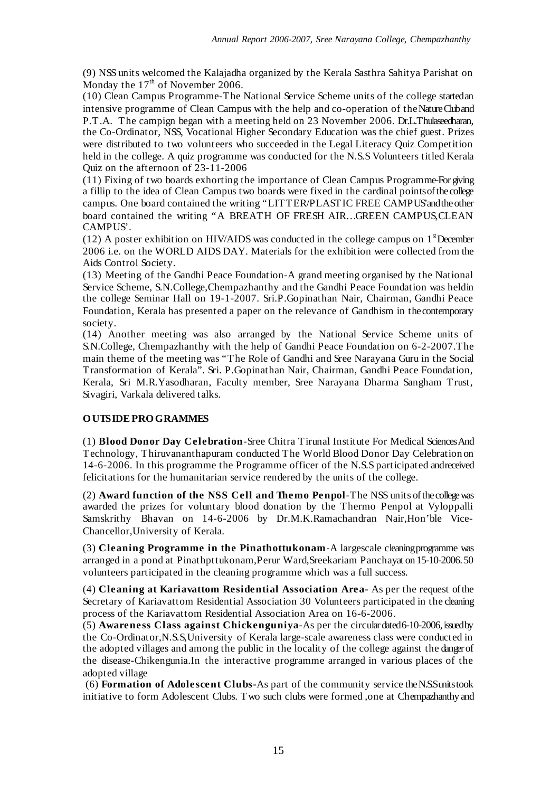(9) NSS units welcomed the Kalajadha organized by the Kerala Sasthra Sahitya Parishat on Monday the 17<sup>th</sup> of November 2006.

(10) Clean Campus Programme-The National Service Scheme units of the college startedan intensive programme of Clean Campus with the help and co-operation of theNatureCluband P.T.A. The campign began with a meeting held on 23 November 2006. Dr.L.Thulaseedharan, the Co-Ordinator, NSS, Vocational Higher Secondary Education was the chief guest. Prizes were distributed to two volunteers who succeeded in the Legal Literacy Quiz Competition held in the college. A quiz programme was conducted for the N.S.S Volunteers titled Kerala Quiz on the afternoon of 23-11-2006

(11) Fixing of two boards exhorting the importance of Clean Campus Programme-Forgiving a fillip to the idea of Clean Campus two boards were fixed in the cardinal pointsofthecollege campus. One board contained the writing "LITTER/PLASTIC FREE CAMPUS and the other board contained the writing "A BREATH OF FRESH AIR…GREEN CAMPUS,CLEAN CAMPUS'.

(12) A poster exhibition on HIV/AIDS was conducted in the college campus on  $1<sup>s</sup>$  December 2006 i.e. on the WORLD AIDS DAY. Materials for the exhibition were collected from the Aids Control Society.

(13) Meeting of the Gandhi Peace Foundation-A grand meeting organised by the National Service Scheme, S.N.College,Chempazhanthy and the Gandhi Peace Foundation was heldin the college Seminar Hall on 19-1-2007. Sri.P.Gopinathan Nair, Chairman, Gandhi Peace Foundation, Kerala has presented a paper on the relevance of Gandhism in thecontemporary society.

(14) Another meeting was also arranged by the National Service Scheme units of S.N.College, Chempazhanthy with the help of Gandhi Peace Foundation on 6-2-2007.The main theme of the meeting was "The Role of Gandhi and Sree Narayana Guru in the Social Transformation of Kerala". Sri. P.Gopinathan Nair, Chairman, Gandhi Peace Foundation, Kerala, Sri M.R.Yasodharan, Faculty member, Sree Narayana Dharma Sangham Trust, Sivagiri, Varkala delivered talks.

## **OUTSIDEPROGRAMMES**

(1) **Blood Donor Day Celebration**-Sree Chitra Tirunal Institute For Medical SciencesAnd Technology, Thiruvananthapuram conducted The World Blood Donor Day Celebration on 14-6-2006. In this programme the Programme officer of the N.S.S participated andreceived felicitations for the humanitarian service rendered by the units of the college.

(2) **Award function of the NSS Cell and Themo Penpol**-The NSS units ofthecollegewas awarded the prizes for voluntary blood donation by the Thermo Penpol at Vyloppalli Samskrithy Bhavan on 14-6-2006 by Dr.M.K.Ramachandran Nair,Hon'ble Vice-Chancellor,University of Kerala.

(3) **Cleaning Programme in the Pinathottukonam**-A largescale cleaningprogramme was arranged in a pond at Pinathpttukonam,Perur Ward,Sreekariam Panchayat on 15-10-2006.50 volunteers participated in the cleaning programme which was a full success.

(4) **Cleaning at Kariavattom Residential Association Area-** As per the request ofthe Secretary of Kariavattom Residential Association 30 Volunteers participated in the cleaning process of the Kariavattom Residential Association Area on 16-6-2006.

(5) **Awareness Class against Chickenguniya**-As per the circulardated6-10-2006,issuedby the Co-Ordinator,N.S.S,University of Kerala large-scale awareness class were conducted in the adopted villages and among the public in the locality of the college against the dangerof the disease-Chikengunia.In the interactive programme arranged in various places of the adopted village

(6) **Formation of Adolescent Clubs-**As part of the community service theN.S.Sunitstook initiative to form Adolescent Clubs. Two such clubs were formed ,one at Chempazhanthy and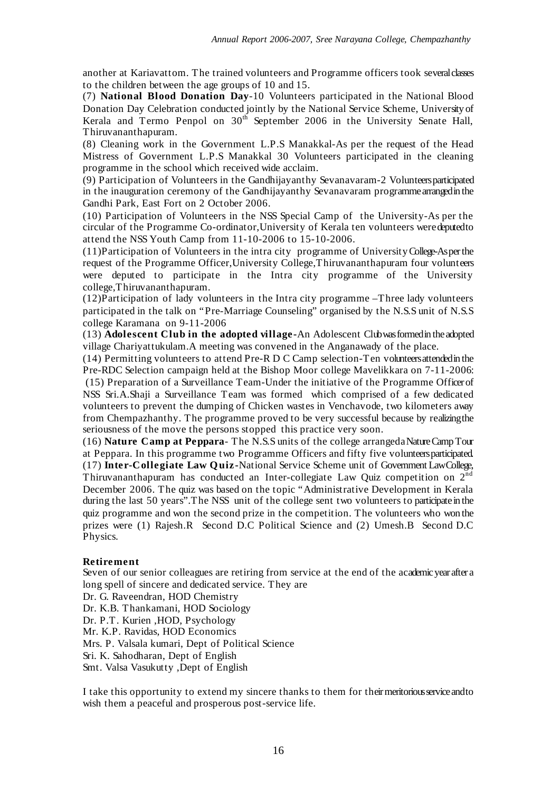another at Kariavattom. The trained volunteers and Programme officers took severalclasses to the children between the age groups of 10 and 15.

(7) **National Blood Donation Day**-10 Volunteers participated in the National Blood Donation Day Celebration conducted jointly by the National Service Scheme, University of Kerala and Termo Penpol on 30<sup>th</sup> September 2006 in the University Senate Hall, Thiruvananthapuram.

(8) Cleaning work in the Government L.P.S Manakkal-As per the request of the Head Mistress of Government L.P.S Manakkal 30 Volunteers participated in the cleaning programme in the school which received wide acclaim.

(9) Participation of Volunteers in the Gandhijayanthy Sevanavaram-2 Volunteersparticipated in the inauguration ceremony of the Gandhijayanthy Sevanavaram programmearrangedin the Gandhi Park, East Fort on 2 October 2006.

(10) Participation of Volunteers in the NSS Special Camp of the University-As per the circular of the Programme Co-ordinator,University of Kerala ten volunteers weredeputedto attend the NSS Youth Camp from 11-10-2006 to 15-10-2006.

(11)Participation of Volunteers in the intra city programme of UniversityCollege-Asperthe request of the Programme Officer,University College,Thiruvananthapuram four volunteers were deputed to participate in the Intra city programme of the University college,Thiruvananthapuram.

(12)Participation of lady volunteers in the Intra city programme –Three lady volunteers participated in the talk on "Pre-Marriage Counseling" organised by the N.S.S unit of N.S.S college Karamana on 9-11-2006

(13) **Adolescent Club in the adopted village-**An Adolescent Clubwasformedin theadopted village Chariyattukulam.A meeting was convened in the Anganawady of the place.

(14) Permitting volunteers to attend Pre-R D C Camp selection-Ten volunteersattendedin the Pre-RDC Selection campaign held at the Bishop Moor college Mavelikkara on 7-11-2006: (15) Preparation of a Surveillance Team-Under the initiative of the Programme Officerof NSS Sri.A.Shaji a Surveillance Team was formed which comprised of a few dedicated volunteers to prevent the dumping of Chicken wastes in Venchavode, two kilometers away from Chempazhanthy. The programme proved to be very successful because by realizingthe seriousness of the move the persons stopped this practice very soon.

(16) **Nature Camp at Peppara**- The N.S.S units of the college arrangedaNatureCampTour at Peppara. In this programme two Programme Officers and fifty five volunteersparticipated. (17) **Inter-Collegiate Law Quiz-**National Service Scheme unit of Government LawCollege, Thiruvananthapuram has conducted an Inter-collegiate Law Quiz competition on  $2^{nd}$ December 2006. The quiz was based on the topic "Administrative Development in Kerala during the last 50 years". The NSS unit of the college sent two volunteers to participate in the quiz programme and won the second prize in the competition. The volunteers who won the prizes were (1) Rajesh.R Second D.C Political Science and (2) Umesh.B Second D.C Physics.

## **Retirement**

Seven of our senior colleagues are retiring from service at the end of the academicyear after a long spell of sincere and dedicated service. They are

Dr. G. Raveendran, HOD Chemistry Dr. K.B. Thankamani, HOD Sociology Dr. P.T. Kurien ,HOD, Psychology Mr. K.P. Ravidas, HOD Economics Mrs. P. Valsala kumari, Dept of Political Science Sri. K. Sahodharan, Dept of English Smt. Valsa Vasukutty ,Dept of English

I take this opportunity to extend my sincere thanks to them for theirmeritoriousserviceandto wish them a peaceful and prosperous post-service life.